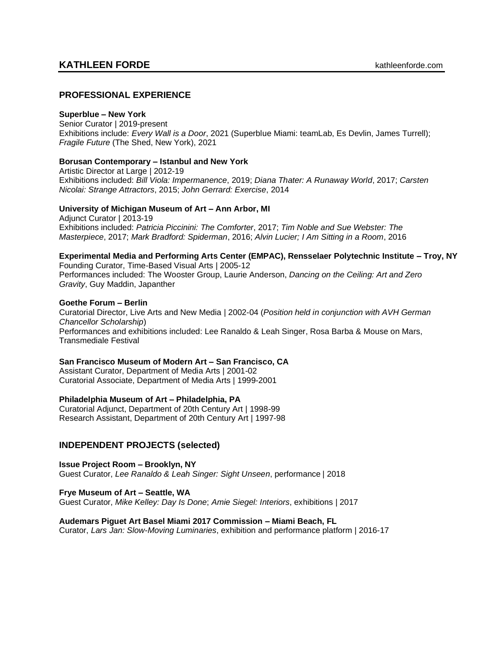### **PROFESSIONAL EXPERIENCE**

#### **Superblue – New York**

Senior Curator | 2019-present Exhibitions include: *Every Wall is a Door*, 2021 (Superblue Miami: teamLab, Es Devlin, James Turrell); *Fragile Future* (The Shed, New York), 2021

#### **Borusan Contemporary – Istanbul and New York**

Artistic Director at Large | 2012-19 Exhibitions included: *Bill Viola: Impermanence*, 2019; *Diana Thater: A Runaway World*, 2017; *Carsten Nicolai: Strange Attractors*, 2015; *John Gerrard: Exercise*, 2014

#### **University of Michigan Museum of Art – Ann Arbor, MI**

Adjunct Curator | 2013-19 Exhibitions included: *Patricia Piccinini: The Comforter*, 2017; *Tim Noble and Sue Webster: The Masterpiece*, 2017; *Mark Bradford: Spiderman*, 2016; *Alvin Lucier; I Am Sitting in a Room*, 2016

### **Experimental Media and Performing Arts Center (EMPAC), Rensselaer Polytechnic Institute – Troy, NY**

Founding Curator, Time-Based Visual Arts | 2005-12 Performances included: The Wooster Group, Laurie Anderson, *Dancing on the Ceiling: Art and Zero Gravity*, Guy Maddin, Japanther

#### **Goethe Forum – Berlin**

Curatorial Director, Live Arts and New Media | 2002-04 (*Position held in conjunction with AVH German Chancellor Scholarship*) Performances and exhibitions included: Lee Ranaldo & Leah Singer, Rosa Barba & Mouse on Mars, Transmediale Festival

#### **San Francisco Museum of Modern Art – San Francisco, CA**

Assistant Curator, Department of Media Arts | 2001-02 Curatorial Associate, Department of Media Arts | 1999-2001

#### **Philadelphia Museum of Art – Philadelphia, PA**

Curatorial Adjunct, Department of 20th Century Art | 1998-99 Research Assistant, Department of 20th Century Art | 1997-98

### **INDEPENDENT PROJECTS (selected)**

**Issue Project Room – Brooklyn, NY**  Guest Curator, *Lee Ranaldo & Leah Singer: Sight Unseen*, performance | 2018

**Frye Museum of Art – Seattle, WA** Guest Curator, *Mike Kelley: Day Is Done*; *Amie Siegel: Interiors*, exhibitions | 2017

#### **Audemars Piguet Art Basel Miami 2017 Commission – Miami Beach, FL**

Curator, *Lars Jan: Slow-Moving Luminaries*, exhibition and performance platform | 2016-17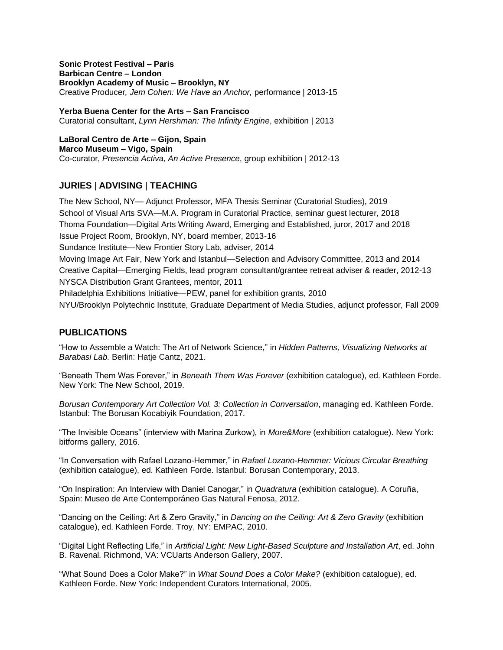**Sonic Protest Festival – Paris Barbican Centre – London Brooklyn Academy of Music – Brooklyn, NY** Creative Producer*, Jem Cohen: We Have an Anchor,* performance | 2013-15

**Yerba Buena Center for the Arts – San Francisco** Curatorial consultant, *Lynn Hershman: The Infinity Engine*, exhibition | 2013

**LaBoral Centro de Arte – Gijon, Spain Marco Museum – Vigo, Spain** Co-curator, *Presencia Activ*a*, An Active Presence*, group exhibition | 2012-13

## **JURIES** | **ADVISING** | **TEACHING**

The New School, NY— Adjunct Professor, MFA Thesis Seminar (Curatorial Studies), 2019 School of Visual Arts SVA—M.A. Program in Curatorial Practice, seminar guest lecturer, 2018 Thoma Foundation—Digital Arts Writing Award, Emerging and Established, juror, 2017 and 2018 Issue Project Room, Brooklyn, NY, board member, 2013-16 Sundance Institute—New Frontier Story Lab, adviser, 2014 Moving Image Art Fair, New York and Istanbul—Selection and Advisory Committee, 2013 and 2014 Creative Capital—Emerging Fields, lead program consultant/grantee retreat adviser & reader, 2012-13 NYSCA Distribution Grant Grantees, mentor, 2011 Philadelphia Exhibitions Initiative—PEW, panel for exhibition grants, 2010 NYU/Brooklyn Polytechnic Institute, Graduate Department of Media Studies, adjunct professor, Fall 2009

## **PUBLICATIONS**

"How to Assemble a Watch: The Art of Network Science," in *Hidden Patterns, Visualizing Networks at Barabasi Lab.* Berlin: Hatje Cantz, 2021.

"Beneath Them Was Forever," in *Beneath Them Was Forever* (exhibition catalogue), ed. Kathleen Forde. New York: The New School, 2019.

*Borusan Contemporary Art Collection Vol. 3: Collection in Conversation*, managing ed. Kathleen Forde. Istanbul: The Borusan Kocabiyik Foundation, 2017.

"The Invisible Oceans" (interview with Marina Zurkow), in *More&More* (exhibition catalogue). New York: bitforms gallery, 2016.

"In Conversation with Rafael Lozano-Hemmer," in *Rafael Lozano-Hemmer: Vicious Circular Breathing*  (exhibition catalogue), ed. Kathleen Forde. Istanbul: Borusan Contemporary, 2013.

"On Inspiration: An Interview with Daniel Canogar," in *Quadratura* (exhibition catalogue). A Coruña, Spain: Museo de Arte Contemporáneo Gas Natural Fenosa, 2012.

"Dancing on the Ceiling: Art & Zero Gravity," in *Dancing on the Ceiling: Art & Zero Gravity* (exhibition catalogue), ed. Kathleen Forde. Troy, NY: EMPAC, 2010.

"Digital Light Reflecting Life," in *Artificial Light: New Light-Based Sculpture and Installation Art*, ed. John B. Ravenal*.* Richmond, VA: VCUarts Anderson Gallery, 2007.

"What Sound Does a Color Make?" in *What Sound Does a Color Make?* (exhibition catalogue), ed. Kathleen Forde. New York: Independent Curators International, 2005.